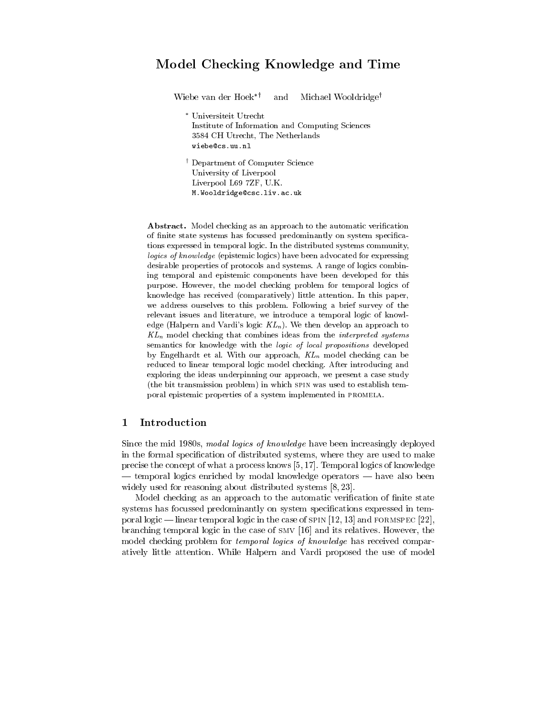# Model Checking Knowledge and Time

Wiebe van der Hoek<sup>\*†</sup> and Michael Wooldridge<sup>†</sup> Universiteit Utrecht Institute of Information and Computing Sciences 3584 CH Utrecht, The Netherlands wiebe@cs.uu.nl <sup>y</sup> Department of Computer Science University of Liverpool Liverpool L69 7ZF, U.K. M.Wooldridge@csc.liv.ac.uk

Abstract. Model checking as an approach to the automatic verification of nite state systems has focussed predominantly on system specications expressed in temporal logic. In the distributed systems community, logics of knowledge (epistemic logics) have been advocated for expressing desirable properties of protocols and systems. A range of logics combining temporal and epistemic components have been developed for this purpose. However, the model checking problem for temporal logics of knowledge has received (comparatively) little attention. In this paper, we address ourselves to this problem. Following a brief survey of the relevant issues and literature, we introduce a temporal logic of knowledge (Halpern and Vardi's logic  $KL_n$ ). We then develop an approach to  $KL_n$  model checking that combines ideas from the *interpreted systems* semantics for knowledge with the logic of local propositions developed by Engelhardt et al. With our approach,  $KL_n$  model checking can be reduced to linear temporal logic model checking. After introducing and exploring the ideas underpinning our approach, we present a case study (the bit transmission problem) in which spin was used to establish temporal epistemic properties of a system implemented in promela.

# 1 Introduction

Since the mid 1980s, modal logics of knowledge have been increasingly deployed in the formal specification of distributed systems, where they are used to make precise the concept of what a process knows [5, 17]. Temporal logics of knowledge - temporal logics enriched by modal knowledge operators — have also been widely used for reasoning about distributed systems  $[8, 23]$ .

Model checking as an approach to the automatic verification of finite state systems has focussed predominantly on system specifications expressed in temporal logic — linear temporal logic in the case of  $SPIN [12, 13]$  and  $FORMSPEC [22]$ , branching temporal logic in the case of smv [16] and its relatives. However, the model checking problem for *temporal logics of knowledge* has received comparatively little attention. While Halpern and Vardi proposed the use of model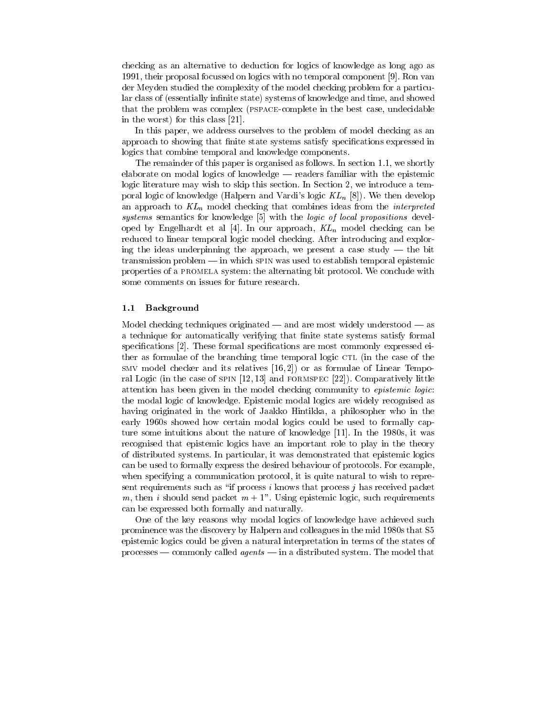checking as an alternative to deduction for logics of knowledge as long ago as 1991, their proposal focussed on logics with no temporal component [9]. Ron van der Meyden studied the complexity of the model checking problem for a particular class of (essentially infinite state) systems of knowledge and time, and showed that the problem was complex (pspace-complete in the best case, undecidable in the worst) for this class [21].

In this paper, we address ourselves to the problem of model checking as an approach to showing that finite state systems satisfy specifications expressed in logics that combine temporal and knowledge components.

The remainder of this paper is organised as follows. In section 1.1, we shortly elaborate on modal logics of knowledge  $-$  readers familiar with the epistemic logic literature may wish to skip this section. In Section 2, we introduce a temporal logic of knowledge (Halpern and Vardi's logic  $KL_n$  [8]). We then develop an approach to  $KL_n$  model checking that combines ideas from the *interpreted* systems semantics for knowledge [5] with the *logic of local propositions* developed by Engelhardt et al [4]. In our approach,  $KL_n$  model checking can be reduced to linear temporal logic model checking. After introducing and exploring the ideas underpinning the approach, we present a case study  $-$  the bit  $transmission problem \text{---}$  in which spin was used to establish temporal epistemic properties of a promela system: the alternating bit protocol. We conclude with some comments on issues for future research.

#### 1.1 Background

Model checking techniques originated  $-$  and are most widely understood  $-$  as a technique for automatically verifying that finite state systems satisfy formal specifications [2]. These formal specifications are most commonly expressed either as formulae of the branching time temporal logic CTL (in the case of the smv model checker and its relatives [16, 2]) or as formulae of Linear Temporal Logic (in the case of spin [12, 13] and formspec [22]). Comparatively little attention has been given in the model checking community to epistemic logic: the modal logic of knowledge. Epistemic modal logics are widely recognised as having originated in the work of Jaakko Hintikka, a philosopher who in the early 1960s showed how certain modal logics could be used to formally capture some intuitions about the nature of knowledge [11]. In the 1980s, it was recognised that epistemic logics have an important role to play in the theory of distributed systems. In particular, it was demonstrated that epistemic logics can be used to formally express the desired behaviour of protocols. For example, when specifying a communication protocol, it is quite natural to wish to represent requirements such as "if process i knows that process j has received packet m, then i should send packet  $m + 1$ ". Using epistemic logic, such requirements can be expressed both formally and naturally.

One of the key reasons why modal logics of knowledge have achieved such prominence was the discovery by Halpern and colleagues in the mid 1980s that S5 epistemic logics could be given a natural interpretation in terms of the states of  $processes$  - commonly called *agents* - in a distributed system. The model that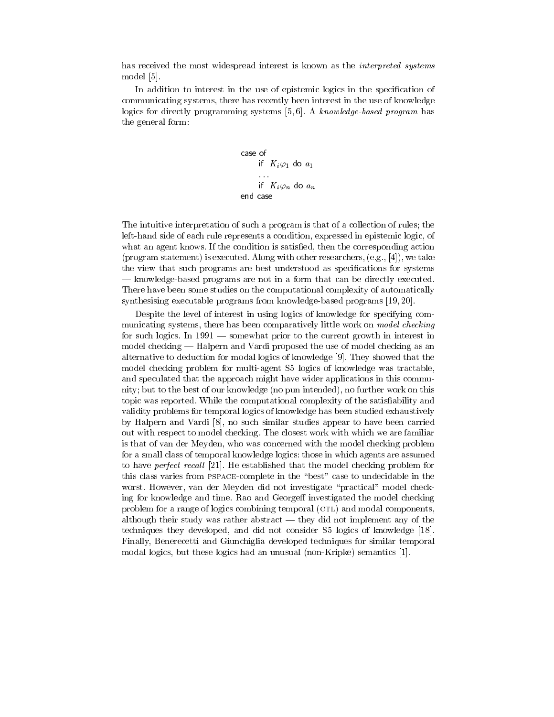has received the most widespread interest is known as the *interpreted systems* model [5]. model [5]. The contract of the contract of the contract of the contract of the contract of the contract of the

In addition to interest in the use of epistemic logics in the specification of communicating systems, there has recently been interest in the use of knowledge logics for directly programming systems  $[5, 6]$ . A knowledge-based program has the general form:

> case of if  $K_i \varphi_1$  do  $a_1$ ... if  $K_i \varphi_n$  do  $a_n$ end case

The intuitive interpretation of such a program is that of a collection of rules; the left-hand side of each rule represents a condition, expressed in epistemic logic, of what an agent knows. If the condition is satisfied, then the corresponding action (program statement) is executed. Along with other researchers,  $(e.g., [4])$ , we take the view that such programs are best understood as specifications for systems | knowledge-based programs are not in a form that can be directly executed. There have been some studies on the computational complexity of automatically synthesising executable programs from knowledge-based programs [19, 20].

Despite the level of interest in using logics of knowledge for specifying com municating systems, there has been comparatively little work on *model checking* for such logics. In 1991 — somewhat prior to the current growth in interest in model checking — Halpern and Vardi proposed the use of model checking as an alternative to deduction for modal logics of knowledge [9]. They showed that the model checking problem for multi-agent S5 logics of knowledge was tractable, and speculated that the approach might have wider applications in this community; but to the best of our knowledge (no pun intended), no further work on this topic was reported. While the computational complexity of the satisfiability and validity problems for temporal logics of knowledge has been studied exhaustively by Halpern and Vardi [8], no such similar studies appear to have been carried out with respect to model checking. The closest work with which we are familiar is that of van der Meyden, who was concerned with the model checking problem for a small class of temporal knowledge logics: those in which agents are assumed to have *perfect recall* [21]. He established that the model checking problem for this class varies from PSPACE-complete in the "best" case to undecidable in the worst. However, van der Meyden did not investigate \practical" model checking for knowledge and time. Rao and Georgeff investigated the model checking problem for a range of logics combining temporal (CTL) and modal components, although their study was rather abstract  $-$  they did not implement any of the techniques they developed, and did not consider S5 logics of knowledge [18]. Finally, Benerecetti and Giunchiglia developed techniques for similar temporal modal logics, but these logics had an unusual (non-Kripke) semantics [1].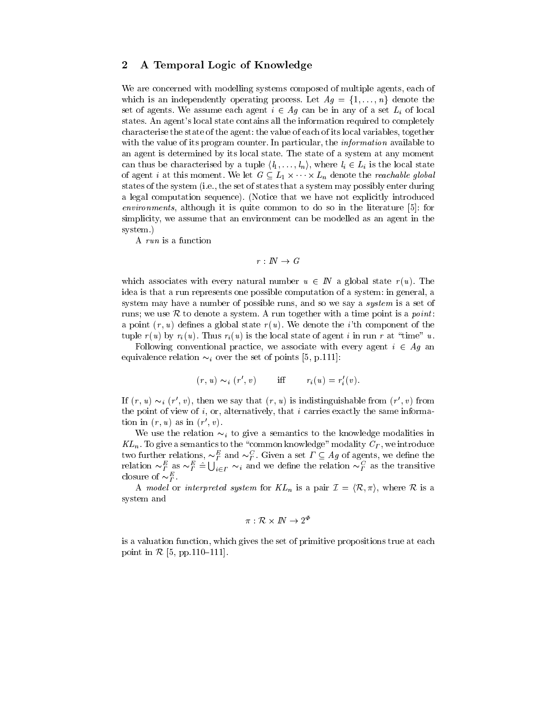# 2 A Temporal Logic of Knowledge

We are concerned with modelling systems composed of multiple agents, each of which is an independently operating process. Let  $Ag = \{1, \ldots, n\}$  denote the set of agents. We assume each agent  $i \in Ag$  can be in any of a set  $L_i$  of local states. An agent's local state contains all the information required to completely characterise the state of the agent: the value of each of its local variables, together with the value of its program counter. In particular, the *information* available to an agent is determined by its local state. The state of a system at any moment can thus be characterised by a tuple  $\langle l_1,\ldots,l_n\rangle$ , where  $l_i\in L_i$  is the local state of agent i at this moment. We let  $G \subseteq L_1 \times \cdots \times L_n$  denote the *reachable global* states of the system (i.e., the set of states that a system may possibly enter during a legal computation sequence). (Notice that we have not explicitly introduced environments, although it is quite common to do so in the literature [5]: for simplicity, we assume that an environment can be modelled as an agent in the system.)

A run is a function

$$
r\, :\, I\!\!N\, \rightarrow\, G
$$

which associates with every natural number  $u \in I\!N$  a global state  $r(u)$ . The idea is that a run represents one possible computation of a system: in general, a system may have a number of possible runs, and so we say a *system* is a set of runs; we use  $R$  to denote a system. A run together with a time point is a *point*: a point  $(r, u)$  defines a global state  $r(u)$ . We denote the *i*'th component of the tuple  $r(u)$  by  $r_i(u)$ . Thus  $r_i(u)$  is the local state of agent i in run r at "time" u.

Following conventional practice, we associate with every agent  $i \in Ag$  and equivalence relation  $\sim_i$  over the set of points [5, p.111]:

$$
(r, u) \sim_i (r', v) \quad \text{iff} \quad r_i(u) = r'_i(v).
$$

If  $(r, u) \sim_i (r, v)$ , then we say that  $(r, u)$  is indistinguishable from  $(r, v)$  from the point of view of i, or, alternatively, that i carries exactly the same information in  $(r, u)$  as in  $(r, v)$ .

We use the relation  $\sim_i$  to give a semantics to the knowledge modalities in  $KL_n$ . To give a semantics to the "common knowledge" modality  $C_T$ , we introduce two further relations,  $\sim_F^P$  and  $\sim_F^{\sim}$ . Given a set  $\Gamma \subseteq Ag$  of agents, we define the relation  $\sim_F^F$  as  $\sim_F^F \hat{=} \bigcup_{i \in F} \sim_i$  and we define the relation  $\sim_F^C$  as the transitive closure of  $\sim_{\Gamma}$ .

A model or interpreted system for  $KL_n$  is a pair  $\mathcal{I} = \langle \mathcal{R}, \pi \rangle$ , where  $\mathcal{R}$  is a system and

$$
\pi: \mathcal{R} \times I\!\!N \rightarrow 2^\varPhi
$$

is a valuation function, which gives the set of primitive propositions true at each point in  $R$  [5, pp.110-111].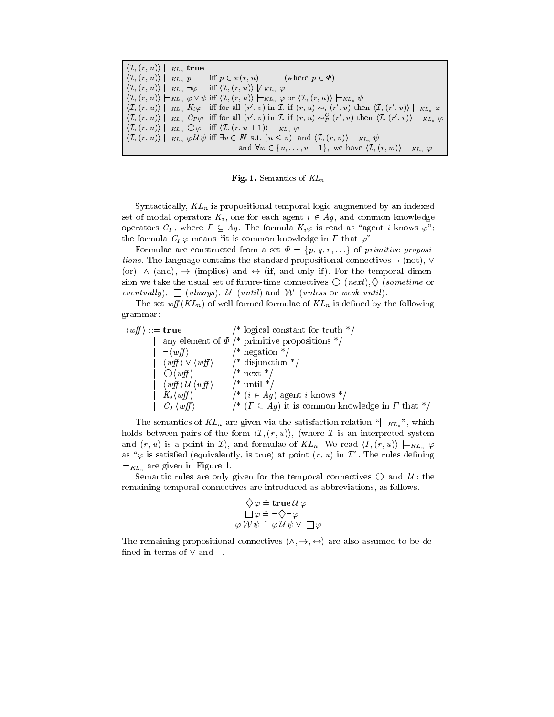| $\langle \mathcal{I}, (r, u) \rangle \models_{KL_n} \textbf{true}$                                                                                                                                       |  |
|----------------------------------------------------------------------------------------------------------------------------------------------------------------------------------------------------------|--|
| $\langle \mathcal{I}, (r, u) \rangle \models_{KL_n} p$ iff $p \in \pi(r, u)$ (where $p \in \Phi$ )                                                                                                       |  |
| $\langle \mathcal{I}, (r, u) \rangle \models_{KL_n} \neg \varphi$ iff $\langle \mathcal{I}, (r, u) \rangle \not\models_{KL_n} \varphi$                                                                   |  |
| $\langle \mathcal{I}, (r, u) \rangle \models_{KL_n} \varphi \vee \psi$ iff $\langle \mathcal{I}, (r, u) \rangle \models_{KL_n} \varphi$ or $\langle \mathcal{I}, (r, u) \rangle \models_{KL_n} \psi$     |  |
| $\langle \mathcal{I}, (r, u) \rangle \models_{KL_n} K_i \varphi$ iff for all $(r', v)$ in $\mathcal{I},$ if $(r, u) \sim_i (r', v)$ then $\langle \mathcal{I}, (r', v) \rangle \models_{KL_n} \varphi$   |  |
| $\langle \mathcal{I}, (r, u) \rangle \models_{KL_n} C_F \varphi$ iff for all $(r', v)$ in $\mathcal{I},$ if $(r, u) \sim_F^C (r', v)$ then $\langle \mathcal{I}, (r', v) \rangle \models_{KL_n} \varphi$ |  |
| $\langle \mathcal{I}, (r, u) \rangle \models_{KL_n} \bigcirc \varphi$ iff $\langle \mathcal{I}, (r, u+1) \rangle \models_{KL_n} \varphi$                                                                 |  |
| $\langle \mathcal{I}, (r, u) \rangle \models_{KL_n} \varphi \mathcal{U} \psi$ iff $\exists v \in \mathbb{N}$ s.t. $(u \leq v)$ and $\langle \mathcal{I}, (r, v) \rangle \models_{KL_n} \psi$             |  |
| and $\forall w \in \{u, \ldots, v-1\}$ , we have $\langle \mathcal{I}, (r, w) \rangle \models_{KL_n} \varphi$                                                                                            |  |

Fig. 1. Semantics of  $KL_n$ 

Syntactically,  $KL_n$  is propositional temporal logic augmented by an indexed set of modal operators  $K_i$ , one for each agent  $i \in Ag$ , and common knowledge operators  $C_{\Gamma}$ , where  $\Gamma \subseteq Ag$ . The formula  $K_i\varphi$  is read as "agent i knows  $\varphi$ "; the formula  $C_{\Gamma} \varphi$  means "it is common knowledge in  $\Gamma$  that  $\varphi$ ".

Formulae are constructed from a set  $\Phi = \{p, q, r, \ldots\}$  of primitive propositions. The language contains the standard propositional connectives  $\neg$  (not),  $\neg$ (or),  $\wedge$  (and),  $\rightarrow$  (implies) and  $\leftrightarrow$  (if, and only if). For the temporal dimension we take the usual set of future-time connectives  $\bigcirc$  (*next*),  $\Diamond$  (*sometime* or eventually),  $\Box$  (always), U (until) and W (unless or weak until).

The set  $\omega f(KL_n)$  of well-formed formulae of  $KL_n$  is defined by the following grammar:

 $\langle wff \rangle ::=$  **true** /\* logical constant for truth \*/ any element of  $\Phi$  /\* primitive propositions \*/  $\vert \neg \langle w f \rangle$  /\* negation \*/  $\langle w f \rangle \vee \langle w f \rangle$  /\* disjunction \*/  $\bigcirc \langle wff \rangle$  /\* next \*/  $\langle wff \rangle$  *U*  $\langle wff \rangle$  /\* until \*/  $\left| K_i \langle w \hat{f} \rangle \right|$  /\*  $(i \in Ag)$  agent i knows \*/  $C_{\Gamma} \langle w f | \rangle$  /\*  $(\Gamma \subset Ag)$  it is common knowledge in  $\Gamma$  that \*/

The semantics of  $KL_n$  are given via the satisfaction relation " $\models_{KL_n}$ ", which holds between pairs of the form  $\langle \mathcal{I}, (r, u) \rangle$ , (where  $\mathcal{I}$  is an interpreted system and  $(r, u)$  is a point in *I*), and formulae of  $KL_n$ . We read  $\langle I, (r, u) \rangle \models_{KL_n} \varphi$ as " $\varphi$  is satisfied (equivalently, is true) at point  $(r, u)$  in  $\mathcal{I}$ ". The rules defining  $\models$ <sub>KL<sub>n</sub></sub> are given in Figure 1.

Semantic rules are only given for the temporal connectives  $\bigcirc$  and  $\mathcal{U}$ : the remaining temporal connectives are introduced as abbreviations, as follows.

$$
\begin{array}{c}\n\bigtriangledown \varphi \mathrel{\hat=} \mathbf{true} \,\mathcal{U} \,\varphi \\
\Box \varphi \mathrel{\hat=}\n\lnot \Diamond \lnot \varphi \\
\varphi \,\mathcal{W} \,\psi \mathrel{\hat=}\n\varphi \,\mathcal{U} \,\psi \,\mathsf{V} \,\, \Box \,\varphi\n\end{array}
$$

The remaining propositional connectives  $(\wedge, \rightarrow, \leftrightarrow)$  are also assumed to be defined in terms of  $\vee$  and  $\neg$ .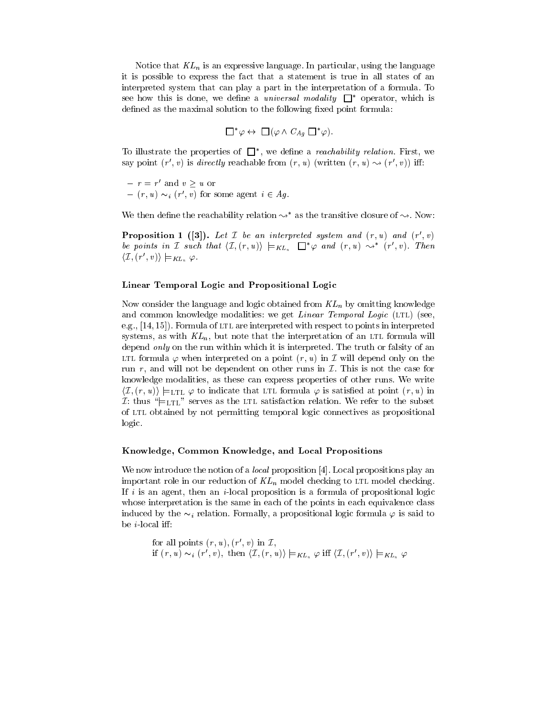Notice that  $KL_n$  is an expressive language. In particular, using the language it is possible to express the fact that a statement is true in all states of an interpreted system that can play a part in the interpretation of a formula. To see how this is done, we define a *universal modality*  $\Box^*$  operator, which is defined as the maximal solution to the following fixed point formula:

$$
\Box^*\varphi \leftrightarrow \Box(\varphi \wedge C_{Ag} \Box^*\varphi).
$$

To illustrate the properties of  $\Box$ , we define a reachability relation. First, we say point  $(r, v)$  is *uirectly* reachable from  $(r, u)$  (written  $(r, u) \rightsquigarrow (r, v)$ ) in:

 $-r = r'$  and  $v \geq u$  or

 $= (r, u) \sim_i (r', v)$  for some agent  $i \in Ag$ .

We then define the reachability relation  $\rightsquigarrow^*$  as the transitive closure of  $\rightsquigarrow$ . Now:

**Proposition 1** ([3]). Let *I* be an interpreted system and  $(r, u)$  and  $(r', v)$ be points in I such that  $\langle I, (r, u) \rangle \models_{KL_n} \Box^* \varphi$  and  $(r, u) \leadsto^* (r', v)$ . Then  $\langle \mathcal{I}, (r', v) \rangle \models_{KL_n} \varphi.$ 

### Linear Temporal Logic and Propositional Logic

Now consider the language and logic obtained from  $KL_n$  by omitting knowledge and common knowledge modalities: we get *Linear Temporal Logic* (LTL) (see, e.g.,  $[14, 15]$ . Formula of LTL are interpreted with respect to points in interpreted systems, as with  $KL_n$ , but note that the interpretation of an LTL formula will depend *only* on the run within which it is interpreted. The truth or falsity of an LTL formula  $\varphi$  when interpreted on a point  $(r, u)$  in  $\mathcal I$  will depend only on the run r, and will not be dependent on other runs in  $\mathcal I$ . This is not the case for knowledge modalities, as these can express properties of other runs. We write  $\langle \mathcal{I}, (r, u) \rangle \models$ LTL  $\varphi$  to indicate that LTL formula  $\varphi$  is satisfied at point  $(r, u)$  in I: thus " $\mid$ =LTL" serves as the LTL satisfaction relation. We refer to the subset of ltl obtained by not permitting temporal logic connectives as propositional logic.

#### Knowledge, Common Knowledge, and Local Propositions

We now introduce the notion of a *local* proposition [4]. Local propositions play an important role in our reduction of  $KL_n$  model checking to LTL model checking. If i is an agent, then an i-local proposition is a formula of propositional logic whose interpretation is the same in each of the points in each equivalence class induced by the  $\sim_i$  relation. Formally, a propositional logic formula  $\varphi$  is said to be *i*-local iff:

for all points 
$$
(r, u)
$$
,  $(r', v)$  in  $\mathcal{I}$ ,  
if  $(r, u) \sim_i (r', v)$ , then  $\langle \mathcal{I}, (r, u) \rangle \models_{KL_n} \varphi$  iff  $\langle \mathcal{I}, (r', v) \rangle \models_{KL_n} \varphi$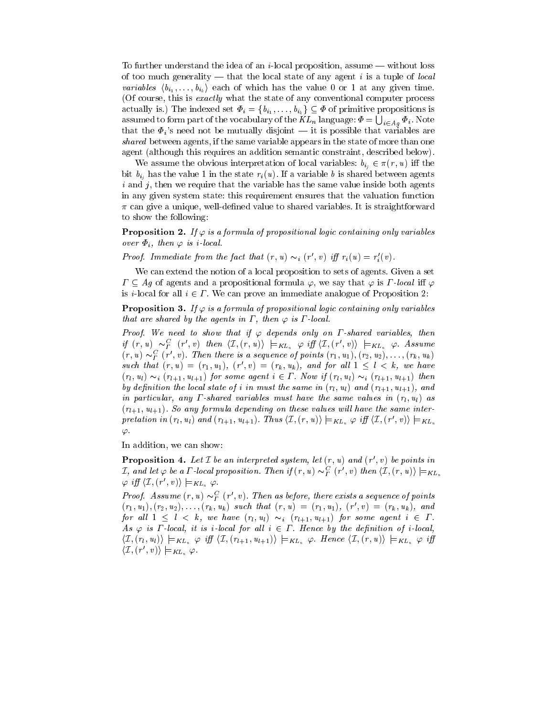To further understand the idea of an *i*-local proposition, assume  $-$  without loss of too much generality  $-$  that the local state of any agent i is a tuple of *local variables*  $\langle b_{i_1}, \ldots, b_{i_k} \rangle$  each of which has the value 0 or 1 at any given time. (Of course, this is exactly what the state of any conventional computer process actually is.) The indexed set  $\Phi_i = \{b_{i_1}, \ldots, b_{i_k}\} \subseteq \Phi$  of primitive propositions is assumed to form part of the vocabulary of the  $KL_n$  language:  $\varPhi = \bigcup_{i \in A_g} \varPhi_i$ . Note that the  $\Phi_i$ 's need not be mutually disjoint — it is possible that variables are shared between agents, if the same variable appears in the state of more than one agent (although this requires an addition semantic constraint, described below).

We assume the obvious interpretation of local variables:  $b_{i_j} \in \pi(r, u)$  iff the bit  $b_{i_j}$  has the value 1 in the state  $r_i(u)$ . If a variable b is shared between agents  $i$  and j, then we require that the variable has the same value inside both agents in any given system state: this requirement ensures that the valuation function  $\pi$  can give a unique, well-defined value to shared variables. It is straightforward to show the following:

**Proposition 2.** If  $\varphi$  is a formula of propositional logic containing only variables over  $\Phi_i$ , then  $\varphi$  is i-local.

**Proof.** Immediate from the fact that  $(r, u) \sim_i (r, v)$  if  $r_i(u) = r_i(v)$ .

We can extend the notion of a local proposition to sets of agents. Given a set  $\Gamma \subseteq Ag$  of agents and a propositional formula  $\varphi$ , we say that  $\varphi$  is  $\Gamma$ -local iff  $\varphi$ is *i*-local for all  $i \in \Gamma$ . We can prove an immediate analogue of Proposition 2:

**Proposition 3.** If  $\varphi$  is a formula of propositional logic containing only variables that are shared by the agents in  $\Gamma$ , then  $\varphi$  is  $\Gamma$ -local.

Proof. We need to show that if  $\varphi$  depends only on  $\Gamma$ -shared variables, then if  $(r, u) \sim_F^C (r', v)$  then  $\langle \mathcal{I}, (r, u) \rangle \models_{KL_n} \varphi$  iff  $\langle \mathcal{I}, (r', v) \rangle \models_{KL_n} \varphi$ . Assume  $(r, u) \sim_{\overline{\Gamma}} (r, v)$ . Then there is a sequence of points  $(r_1, u_1), (r_2, u_2), \ldots, (r_k, u_k)$ such that  $(r, u) = (r_1, u_1), (r', v) = (r_k, u_k)$ , and for all  $1 \leq l \leq k$ , we have  $(r_l, u_l) \sim_i (r_{l+1}, u_{l+1})$  for some agent  $i \in \Gamma$ . Now if  $(r_l, u_l) \sim_i (r_{l+1}, u_{l+1})$  then by definition the local state of i in must the same in  $(r_l, u_l)$  and  $(r_{l+1}, u_{l+1})$ , and in particular, any  $\Gamma$ -shared variables must have the same values in  $(r_l, u_l)$  as  $(r_{l+1}, u_{l+1})$ . So any formula depending on these values will have the same interpretation in  $(r_l, u_l)$  and  $(r_{l+1}, u_{l+1})$ . Thus  $\langle \mathcal{I}, (r, u) \rangle \models_{KL_n} \varphi$  iff  $\langle \mathcal{I}, (r', v) \rangle \models_{KL_n}$  $\varphi$ .

In addition, we can show:

**Proposition 4.** Let  $\mathcal I$  be an interpreted system, let  $(r, u)$  and  $(r', v)$  be points in I, and let  $\varphi$  be a  $\varGamma$ -local proposition. Then if  $(r,u)\thicksim^C_\varGamma(r',v)$  then  $\langle\mathcal{I},(r,u)\rangle\models_{KL_n}$  $\varphi \text{ iff } \langle \mathcal{I}, (r', v) \rangle \models_{KL_n} \varphi.$ 

Proof. Assume  $(r, u) \sim_{\overline{\Gamma}} (r, v)$ . Then as before, there exists a sequence of points  $(r_1, u_1), (r_2, u_2), \ldots, (r_k, u_k)$  such that  $(r, u) = (r_1, u_1), (r, v) = (r_k, u_k),$  and for all  $1 \leq l \leq k$ , we have  $(r_l, u_l) \sim_i (r_{l+1}, u_{l+1})$  for some agent  $i \in \Gamma$ . As  $\varphi$  is  $\Gamma$ -local, it is *i*-local for all  $i \in \Gamma$ . Hence by the definition of *i*-local,  $\langle \mathcal{I}, (r_l, u_l) \rangle \models_{KL_n} \varphi \text{ iff } \langle \mathcal{I}, (r_{l+1}, u_{l+1}) \rangle \models_{KL_n} \varphi.$  Hence  $\langle \mathcal{I}, (r, u) \rangle \models_{KL_n} \varphi \text{ iff }$  $\langle \mathcal{I}, (r', v) \rangle \models_{KL_n} \varphi.$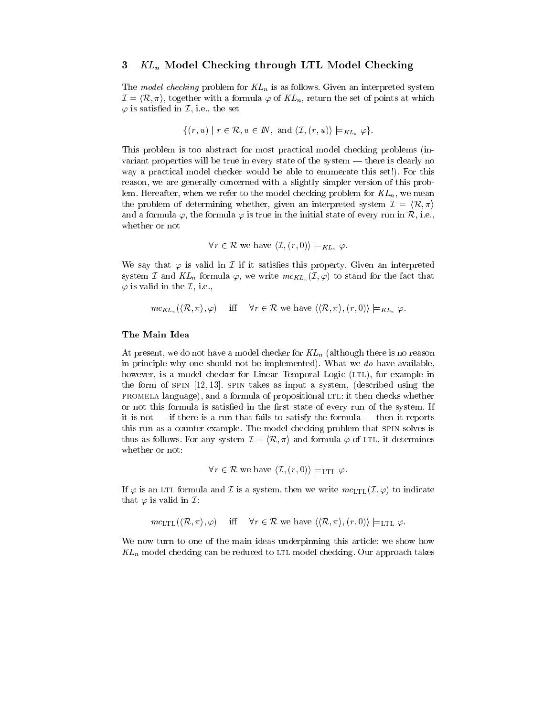## 3  $KL_n$  Model Checking through LTL Model Checking

The model checking problem for  $KL_n$  is as follows. Given an interpreted system  $\mathcal{I} = \langle \mathcal{R}, \pi \rangle$ , together with a formula  $\varphi$  of  $KL_n$ , return the set of points at which  $\varphi$  is satisfied in  $\mathcal{I}$ , i.e., the set

$$
\{(r, u) \mid r \in \mathcal{R}, u \in \mathbb{N}, \text{ and } \langle \mathcal{I}, (r, u) \rangle \models_{KL_n} \varphi \}.
$$

This problem is too abstract for most practical model checking problems (in variant properties will be true in every state of the system  $-$  there is clearly no way a practical model checker would be able to enumerate this set!). For this reason, we are generally concerned with a slightly simpler version of this problem. Hereafter, when we refer to the model checking problem for  $KL_n$ , we mean the problem of determining whether, given an interpreted system  $\mathcal{I} = \langle \mathcal{R}, \pi \rangle$ and a formula  $\varphi$ , the formula  $\varphi$  is true in the initial state of every run in R, i.e., whether or not

$$
\forall r \in \mathcal{R}
$$
 we have  $\langle \mathcal{I}, (r, 0) \rangle \models_{KL_n} \varphi$ .

We say that  $\varphi$  is valid in  $\mathcal I$  if it satisfies this property. Given an interpreted system I and  $KL_n$  formula  $\varphi$ , we write  $mc_{KL_n}(\mathcal{I}, \varphi)$  to stand for the fact that  $\varphi$  is valid in the *I*, i.e.,

 $mc_{KL_n}(\langle \mathcal{R}, \pi \rangle, \varphi)$  iff  $\forall r \in \mathcal{R}$  we have  $\langle \langle \mathcal{R}, \pi \rangle, (r, 0) \rangle \models_{KL_n} \varphi$ .

#### The Main Idea

At present, we do not have a model checker for  $KL_n$  (although there is no reason in principle why one should not be implemented). What we do have available, however, is a model checker for Linear Temporal Logic (LTL), for example in the form of spin [12, 13]. spin takes as input a system, (described using the promela language), and a formula of propositional ltl: it then checks whether or not this formula is satisfied in the first state of every run of the system. If it is not  $\frac{1}{\sqrt{1-\frac{v_1}{v_2}}}$  if there is a run that fails to satisfy the formula  $\frac{1}{\sqrt{1-\frac{v_1}{v_2}}}$  then it reports this run as a counter example. The model checking problem that spin solves is thus as follows. For any system  $\mathcal{I} = \langle \mathcal{R}, \pi \rangle$  and formula  $\varphi$  of LTL, it determines whether or not:

$$
\forall r \in \mathcal{R}
$$
 we have  $\langle \mathcal{I}, (r,0) \rangle \models_{\text{LTL}} \varphi$ .

If  $\varphi$  is an LTL formula and  $\mathcal I$  is a system, then we write  $mc_{\text{LTL}}(\mathcal{I}, \varphi)$  to indicate that  $\varphi$  is valid in  $\mathcal{I}:$ 

 $mc_{\text{LTL}}(\langle \mathcal{R}, \pi \rangle, \varphi)$  iff  $\forall r \in \mathcal{R}$  we have  $\langle \langle \mathcal{R}, \pi \rangle, (r, 0) \rangle \models_{\text{LTL}} \varphi$ .

We now turn to one of the main ideas underpinning this article: we show how  $KL_n$  model checking can be reduced to LTL model checking. Our approach takes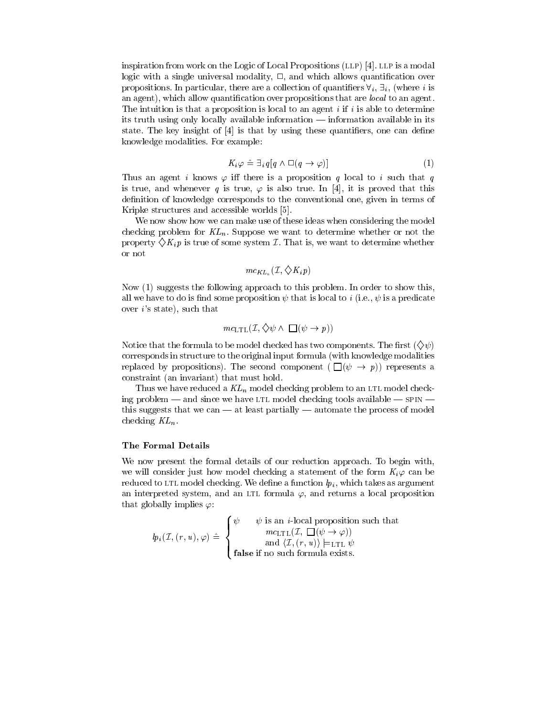inspiration from work on the Logic of Local Propositions (LLP) [4]. LLP is a modal logic with a single universal modality,  $\Box$ , and which allows quantification over propositions. In particular, there are a collection of quantifiers  $\forall i, \exists j$ , (where i is an agent), which allow quantification over propositions that are *local* to an agent. The intuition is that a proposition is local to an agent  $i$  if  $i$  is able to determine its truth using only locally available information  $-$  information available in its state. The key insight of  $[4]$  is that by using these quantifiers, one can define knowledge modalities. For example:

$$
K_i \varphi \triangleq \exists_i q [q \wedge \Box (q \to \varphi)] \tag{1}
$$

Thus an agent i knows  $\varphi$  iff there is a proposition q local to i such that q is true, and whenever q is true,  $\varphi$  is also true. In [4], it is proved that this definition of knowledge corresponds to the conventional one, given in terms of Kripke structures and accessible worlds [5].

We now show how we can make use of these ideas when considering the model checking problem for  $KL_n$ . Suppose we want to determine whether or not the property  $\langle K_i p \rangle$  is true of some system *I*. That is, we want to determine whether or not

$$
mc_{KL_n}(\mathcal{I}, \diamondsuit K_ip)
$$

Now (1) suggests the following approach to this problem. In order to show this, all we have to do is find some proposition  $\psi$  that is local to i (i.e.,  $\psi$  is a predicate over  $i$ 's state), such that

$$
mc_{\text{LTL}}(\mathcal{I}, \diamondsuit \psi \land \Box(\psi \to p))
$$

Notice that the formula to be model checked has two components. The first  $(\diamondsuit \psi)$ corresponds in structure to the original input formula (with knowledge modalities replaced by propositions). The second component  $(\Box(\psi \rightarrow p))$  represents a constraint (an invariant) that must hold.

Thus we have reduced a  $KL_n$  model checking problem to an LTL model checking problem  $-$  and since we have LTL model checking tools available  $-$  SPIN  $$ this suggests that we can  $-$  at least partially  $-$  automate the process of model checking  $KL_n$ .

#### The Formal Details

We now present the formal details of our reduction approach. To begin with, we will consider just how model checking a statement of the form  $K_i\varphi$  can be reduced to LTL model checking. We define a function  $lp_i$ , which takes as argument an interpreted system, and an LTL formula  $\varphi$ , and returns a local proposition that globally implies  $\varphi$ :

$$
lp_i(\mathcal{I}, (r, u), \varphi) \triangleq \begin{cases} \psi & \psi \text{ is an } i\text{-local proposition such that} \\ & m c_{\text{LTL}}(\mathcal{I}, \Box(\psi \to \varphi)) \\ & \text{and } \langle \mathcal{I}, (r, u) \rangle \models_{\text{LTL}} \psi \\ & \text{false if no such formula exists.} \end{cases}
$$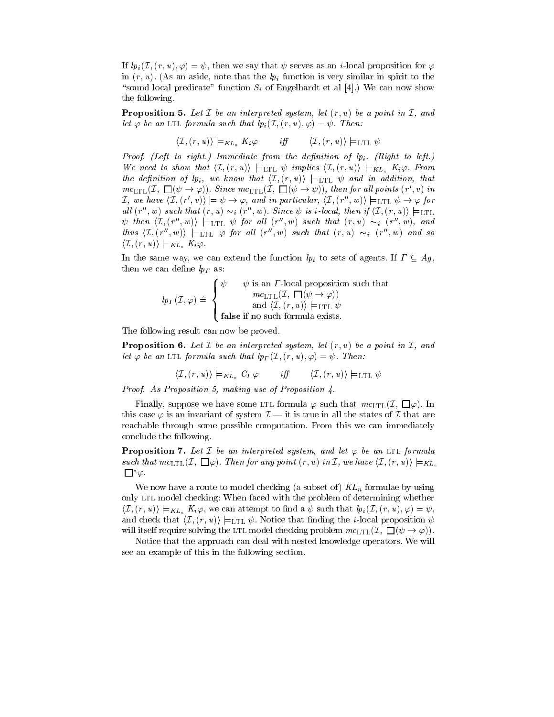If  $lp_i(\mathcal{I}, (r, u), \varphi) = \psi$ , then we say that  $\psi$  serves as an *i*-local proposition for  $\varphi$ in  $(r, u)$ . (As an aside, note that the  $lp_i$  function is very similar in spirit to the "sound local predicate" function  $S_i$  of Engelhardt et al [4].) We can now show the following.

**Proposition 5.** Let  $\mathcal I$  be an interpreted system, let  $(r, u)$  be a point in  $\mathcal I$ , and let  $\varphi$  be an LTL formula such that  $lp_i(\mathcal{I}, (r, u), \varphi) = \psi$ . Then:

$$
\langle \mathcal{I}, (r, u) \rangle \models_{KL_n} K_i \varphi \qquad \text{iff} \qquad \langle \mathcal{I}, (r, u) \rangle \models_{\text{LTL}} \psi
$$

Proof. (Left to right.) Immediate from the definition of  $lp_i$ . (Right to left.) We need to show that  $\langle I, (r, u) \rangle \models_{\text{LTL}} \psi$  implies  $\langle I, (r, u) \rangle \models_{KL_n} K_i \varphi$ . From the definition of  $\{p_i\}$ , we know that  $\langle \mathcal{I}, (r, u) \rangle \models$ LTL  $\psi$  and in addition, that  $mc_{\text{LTL}}(\mathcal{I}, \Box(\psi \rightarrow \varphi))$ . Since  $mc_{\text{LTL}}(\mathcal{I}, \Box(\psi \rightarrow \psi))$ , then for all points  $(r', v)$  in I, we have  $\langle I, (r', v) \rangle \models \psi \rightarrow \varphi$ , and in particular,  $\langle I, (r'', w) \rangle \models$ LTL  $\psi \rightarrow \varphi$  for all  $(r'', w)$  such that  $(r, u) \sim_i (r'', w)$ . Since  $\psi$  is *i*-local, then if  $\langle \mathcal{I}, (r, u) \rangle \models$ LTL  $\psi$  then  $\langle \mathcal{I}, (r'', w) \rangle$   $\models$ LTL  $\psi$  for all  $(r'', w)$  such that  $(r, u) \sim_i (r'', w)$ , and thus  $\langle T, (r'', w) \rangle$   $\models$ LTL  $\varphi$  for all  $(r'', w)$  such that  $(r, u) \sim_i (r'', w)$  and so  $\langle \mathcal{I}, (r, u) \rangle \models_{KL_n} K_i \varphi.$ 

In the same way, we can extend the function  $lp_i$  to sets of agents. If  $\Gamma \subseteq Ag$ , then we can define  $lp_T$  as:

$$
lp_{\Gamma}(\mathcal{I},\varphi) \triangleq \begin{cases} \psi & \psi \text{ is an } \Gamma\text{-local proposition such that} \\ & mc_{\text{LTL}}(\mathcal{I}, \Box(\psi \to \varphi)) \\ & \text{and } \langle \mathcal{I}, (r,u) \rangle \models_{\text{LTL}} \psi \\ \text{false if no such formula exists.} \end{cases}
$$

The following result can now be proved.

**Proposition 6.** Let  $\mathcal I$  be an interpreted system, let  $(r, u)$  be a point in  $\mathcal I$ , and let  $\varphi$  be an LTL formula such that  $lp_{\Gamma}(\mathcal{I}, (r, u), \varphi) = \psi$ . Then:

$$
\langle \mathcal{I}, (r, u) \rangle \models_{KL_n} C_{\varGamma} \varphi \quad \quad \textit{iff} \quad \quad \langle \mathcal{I}, (r, u) \rangle \models_{\text{LTL}} \psi
$$

Proof. As Proposition 5, making use of Proposition 4.

Finally, suppose we have some LTL formula  $\varphi$  such that  $mc_{\text{LTL}}(\mathcal{I}, \Box \varphi)$ . In this case  $\varphi$  is an invariant of system  $\mathcal{I}$   $\longrightarrow$  it is true in all the states of  $\mathcal{I}$  that are reachable through some possible computation. From this we can immediately conclude the following.

**Proposition 7.** Let I be an interpreted system, and let  $\varphi$  be an LTL formula such that  $mc_{\text{LTL}}(\mathcal{I}, \Box \varphi)$ . Then for any point  $(r, u)$  in  $\mathcal{I}, w$  have  $\langle \mathcal{I}, (r, u) \rangle \models_{KL_n}$  $\Box^*\varphi.$ 

We now have a route to model checking (a subset of)  $KL_n$  formulae by using only LTL model checking: When faced with the problem of determining whether  $\langle \mathcal{I}, (r, u) \rangle \models_{KL_n} K_i \varphi$ , we can attempt to find a  $\psi$  such that  $lp_i(\mathcal{I}, (r, u), \varphi) = \psi$ , and check that  $\langle I, (r, u) \rangle \models_{\text{LTL}} \psi$ . Notice that finding the *i*-local proposition  $\psi$ will itself require solving the LTL model checking problem  $mc_{\text{LTL}}(\mathcal{I}, \Box(\psi \rightarrow \varphi)).$ 

Notice that the approach can deal with nested knowledge operators. We will see an example of this in the following section.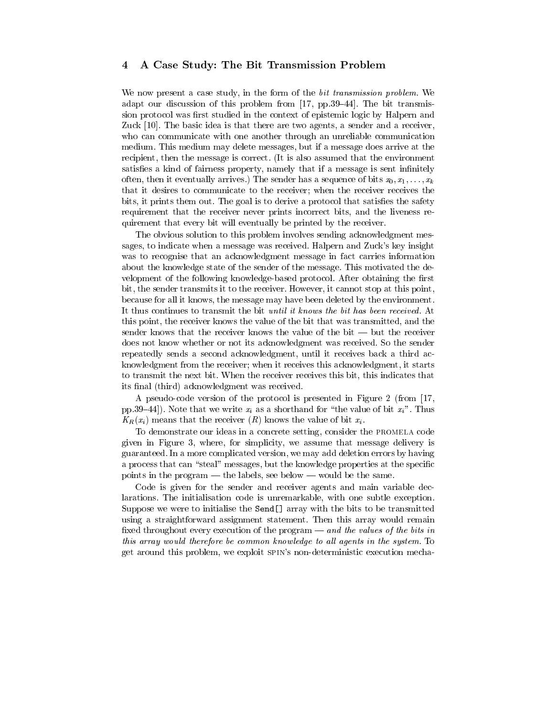# 4 A Case Study: The Bit Transmission Problem

We now present a case study, in the form of the *bit transmission problem*. We adapt our discussion of this problem from  $[17, pp.39-44]$ . The bit transmission protocol was first studied in the context of epistemic logic by Halpern and Zuck [10]. The basic idea is that there are two agents, a sender and a receiver, who can communicate with one another through an unreliable communication medium. This medium may delete messages, but if a message does arrive at the recipient, then the message is correct. (It is also assumed that the environment satisfies a kind of fairness property, namely that if a message is sent infinitely often, then it eventually arrives.) The sender has a sequence of bits  $x_0, x_1, \ldots, x_k$ that it desires to communicate to the receiver; when the receiver receives the bits, it prints them out. The goal is to derive a protocol that satisfies the safety requirement that the receiver never prints incorrect bits, and the liveness requirement that every bit will eventually be printed by the receiver.

The obvious solution to this problem involves sending acknowledgment messages, to indicate when a message was received. Halpern and Zuck's key insight was to recognise that an acknowledgment message in fact carries information about the knowledge state of the sender of the message. This motivated the de velopment of the following knowledge-based protocol. After obtaining the first bit, the sender transmits it to the receiver. However, it cannot stop at this point, because for all it knows, the message may have been deleted by the environment. It thus continues to transmit the bit *until it knows the bit has been received*. At this point, the receiver knows the value of the bit that was transmitted, and the sender knows that the receiver knows the value of the bit  $-$  but the receiver does not know whether or not its acknowledgment was received. So the sender repeatedly sends a second acknowledgment, until it receives back a third acknowledgment from the receiver; when it receives this acknowledgment, it starts to transmit the next bit. When the receiver receives this bit, this indicates that its final (third) acknowledgment was received.

A pseudo-code version of the protocol is presented in Figure 2 (from [17, pp.39-44]). Note that we write  $x_i$  as a shorthand for "the value of bit  $x_i$ ". Thus  $K_R(x_i)$  means that the receiver  $(R)$  knows the value of bit  $x_i$ .

To demonstrate our ideas in a concrete setting, consider the promela code given in Figure 3,where, for simplicity, we assume that message delivery is guaranteed. In a more complicated version, we may add deletion errors by having a process that can "steal" messages, but the knowledge properties at the specific points in the program — the labels, see below — would be the same.

Code is given for the sender and receiver agents and main variable declarations. The initialisation code is unremarkable, with one subtle exception. Suppose we were to initialise the Send[] array with the bits to be transmitted using a straightforward assignment statement. Then this array would remain fixed throughout every execution of the program  ${and}$  the values of the bits in this array would therefore be common knowledge to all agents in the system. To get around this problem, we exploit spin's non-deterministic execution mecha-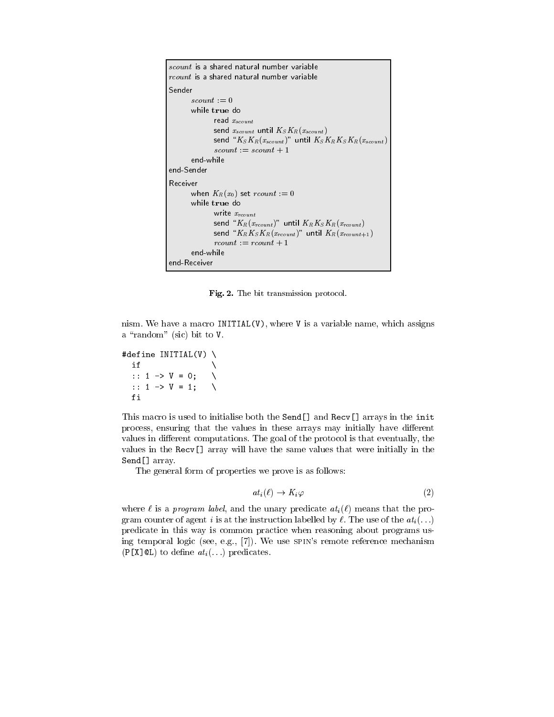```
scount is a shared natural number variable
rcount is a shared natural number variable
Sender<br>scount := 0while true do
              read x_{scount}send x_{scount} until K_S K_R(x_{scount})send "K_S K_R(x_{scount} )" until K_S K_R K_S K_R(x_{scount} )scount := scount + 1end-while
end-Sender
Receiver
      when K_R(x_0) set rcount := 0while true do
              write x_{rcount}send "K_R(x_{rcount})" until K_RK_S K_R(x_{rcount})send K_RK_SK_R(x_{rcount} )" until K_R(x_{rcount+1})rcount := rcount + 1end-while
end-Receiver
```
Fig. 2. The bit transmission protocol.

nism. We have a macro INITIAL(V), where V is a variable name, which assigns a "random" (sic) bit to V.

```
#define INITIAL(V) \
      if
       if the contract of the contract of the contract of the contract of the contract of the contract of the contract of the contract of the contract of the contract of the contract of the contract of the contract of the contra
      :: 1 -> V = 0;
      :: 1 -> V = 1;
     fi
```
This macro is used to initialise both the Send[] and Recv[] arrays in the init process, ensuring that the values in these arrays may initially have different values in different computations. The goal of the protocol is that eventually, the values in the Recv[] array will have the same values that were initially in the Send[] array.

The general form of properties we prove is as follows:

$$
at_i(\ell) \to K_i \varphi \tag{2}
$$

where  $\ell$  is a program label, and the unary predicate  $at_i(\ell)$  means that the program counter of agent i is at the instruction labelled by  $\ell$ . The use of the  $at_i (\ldots)$ predicate in this way is common practice when reasoning about programs using temporal logic (see, e.g., [7]). We use spin's remote reference mechanism  $(P[X]\&L)$  to define  $at_i(\ldots)$  predicates.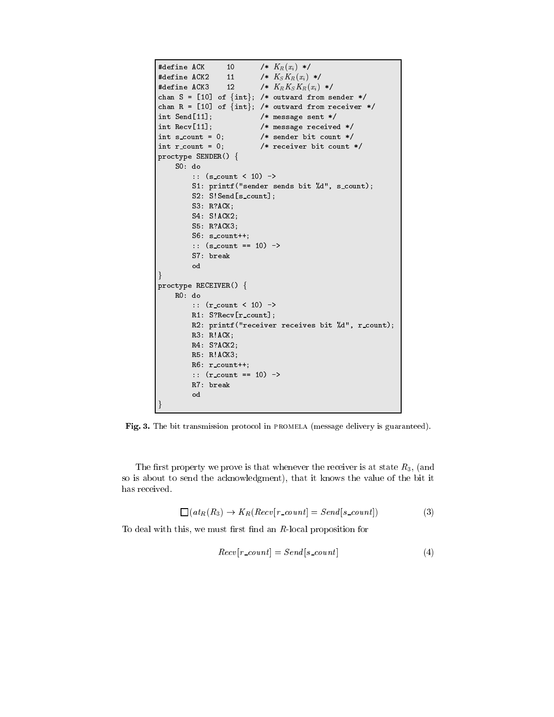```
#define ACK 10 /* K_R(x_i) */
#define ACK2 11 /* K_S K_R(x_i) */
                11
#define ACK3 12 /* K_R K_S K_R(x_i) */
chan S = [10] of \{int\}; /* outward from sender */
chan R = [10] of \{int\}; /* outward from receiver */
int Send[11]; /* message sent */
int Recv[11]; /* message received */
int s_count = 0; /* sender bit count */
int r_count = 0; * /* receiver bit count */
proctype SENDER() {
    S0: do
        :: (s_count < 10) ->
        S1: printf("sender sends bit %d", s_count);
        S2: S!Send[s_count];
        S3: R?ACK;
        S4: S!ACK2;
        S5: R?ACK3;
        S6: s count++;
        :: (s_{\text{count}} == 10) ->
        S7: break
        od
\} and \}proctype RECEIVER() {
    R0: do
        :: (r_count < 10) ->
        R1: S?Recv[r_count];
        R2: printf("receiver receives bit %d", r count);
        R3: R!ACK;
        R4: S?ACK2;
        R5: R!ACK3;
        R6: r count++;
        :: (r_{\text{count}} == 10) ->
        R7: break
        od
\}
```
Fig. 3. The bit transmission protocol in promela (message delivery is guaranteed).

The first property we prove is that whenever the receiver is at state  $R_3$ , (and so is about to send the acknowledgment), that it knows the value of the bit it has received.

$$
\Box(at_R(R_3) \to K_R(Recv[r\_count] = Send[s\_count])
$$
\n(3)

To deal with this, we must first find an  $R$ -local proposition for

$$
Recv[r\_count] = Send[s\_count]
$$
\n(4)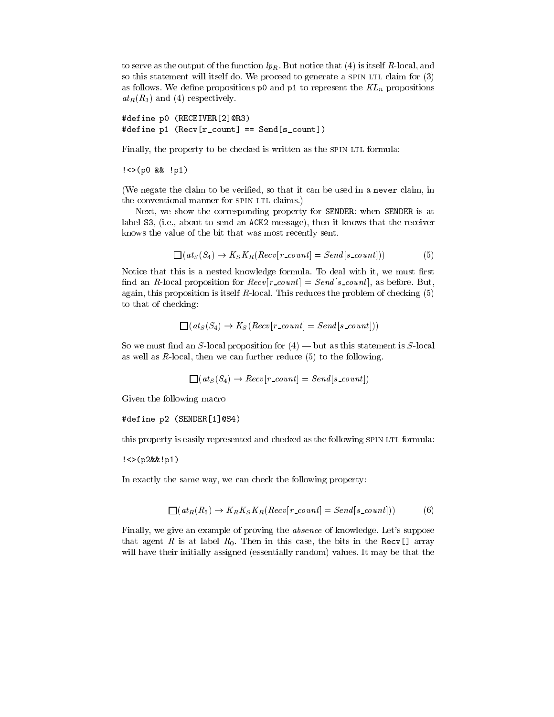to serve as the output of the function  $lp_R$ . But notice that (4) is itself R-local, and so this statement will itself do. We proceed to generate a SPIN LTL claim for  $(3)$ as follows. We define propositions  $p0$  and  $p1$  to represent the  $KL_n$  propositions  $at_R(R_3)$  and (4) respectively.

```
#define p0 (RECEIVER[2]@R3)
#define p1 (Recv[r_count] == Send[s_count])
```
Finally, the property to be checked is written as the SPIN LTL formula:

!<>(p0 && !p1)

(We negate the claim to be veried, so that it can be used in a never claim, in the conventional manner for SPIN LTL claims.)

Next, we show the corresponding property for SENDER: when SENDER is at label S3, (i.e., about to send an ACK2 message), then it knows that the receiver knows the value of the bit that was most recently sent.

$$
\Box(at_S(S_4) \to K_S K_R (Recv[r\_count] = Send[s\_count])) \tag{5}
$$

Notice that this is a nested knowledge formula. To deal with it, we must first find an R-local proposition for  $Recv[r\_count] = Send[s\_count]$ , as before. But, again, this proposition is itself  $R$ -local. This reduces the problem of checking  $(5)$ to that of checking:

$$
\Box (at_S(S_4) \rightarrow K_S(Recv[r\_count] = Send[s\_count])
$$

So we must find an S-local proposition for  $(4)$  — but as this statement is S-local as well as  $R$ -local, then we can further reduce  $(5)$  to the following.

$$
\Box (at_S(S_4) \rightarrow Recv[r\_count] = Send[s\_count])
$$

Given the following macro

## #define p2 (SENDER[1]@S4)

this property is easily represented and checked as the following SPIN LTL formula:

!<>(p2&&!p1)

In exactly the same way, we can check the following property:

$$
\Box(at_R(R_5) \to K_R K_S K_R (Recv[r\_count] = Send[s\_count])) \tag{6}
$$

Finally, we give an example of proving the absence of knowledge. Let's suppose that agent R is at label  $R_0$ . Then in this case, the bits in the Recv[] array will have their initially assigned (essentially random) values. It may be that the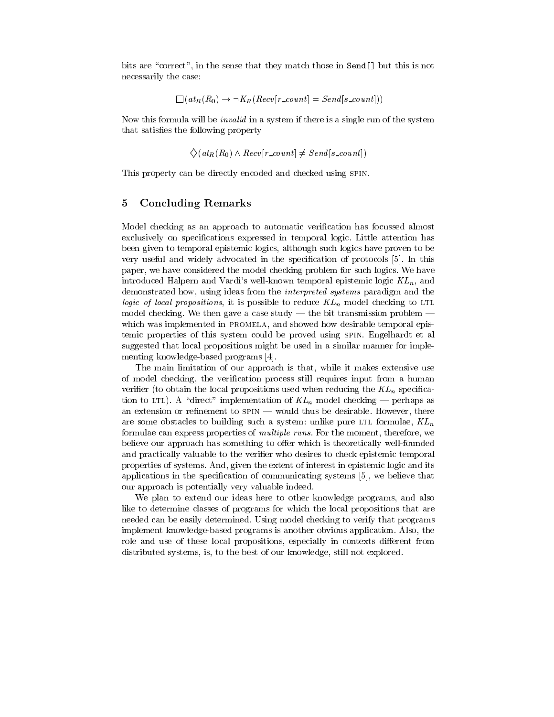bits are "correct", in the sense that they match those in Send[] but this is not necessarily the case:

$$
\Box (at_R(R_0) \rightarrow \neg K_R (Recv[r\_count] = Send[s\_count])
$$

Now this formula will be invalid in a system if there is a single run of the system that satisfies the following property

$$
\diamondsuit(at_R(R_0) \land Recv[r\_count] \neq Send[s\_count])
$$

This property can be directly encoded and checked using spin.

#### $\overline{5}$ 5 Concluding Remarks

Model checking as an approach to automatic verication has focussed almost exclusively on specications expressed in temporal logic. Little attention has been given to temporal epistemic logics, although such logics have proven to be very useful and widely advocated in the specification of protocols [5]. In this paper, we have considered the model checking problem for such logics. We have introduced Halpern and Vardi's well-known temporal epistemic logic  $KL_n$ , and demonstrated how, using ideas from the interpreted systems paradigm and the logic of local propositions, it is possible to reduce  $KL_n$  model checking to LTL model checking. We then gave a case study  $-$  the bit transmission problem  $$ which was implemented in PROMELA, and showed how desirable temporal epistemic properties of this system could be proved using spin. Engelhardt et al suggested that local propositions might be used in a similar manner for implementing knowledge-based programs [4].

The main limitation of our approach is that, while it makes extensive use of model checking, the verication process still requires input from a human verifier (to obtain the local propositions used when reducing the  $KL_n$  specification to LTL). A "direct" implementation of  $KL_n$  model checking – perhaps as an extension or refinement to  $spin$  — would thus be desirable. However, there are some obstacles to building such a system: unlike pure LTL formulae,  $KL_n$ formulae can express properties of multiple runs. For the moment, therefore, we believe our approach has something to offer which is theoretically well-founded and practically valuable to the verifier who desires to check epistemic temporal properties of systems. And, given the extent of interest in epistemic logic and its applications in the specification of communicating systems  $[5]$ , we believe that our approach is potentially very valuable indeed.

We plan to extend our ideas here to other knowledge programs, and also like to determine classes of programs for which the local propositions that are needed can be easily determined. Using model checking to verify that programs implement knowledge-based programs is another obvious application. Also, the role and use of these local propositions, especially in contexts different from distributed systems, is, to the best of our knowledge, still not explored.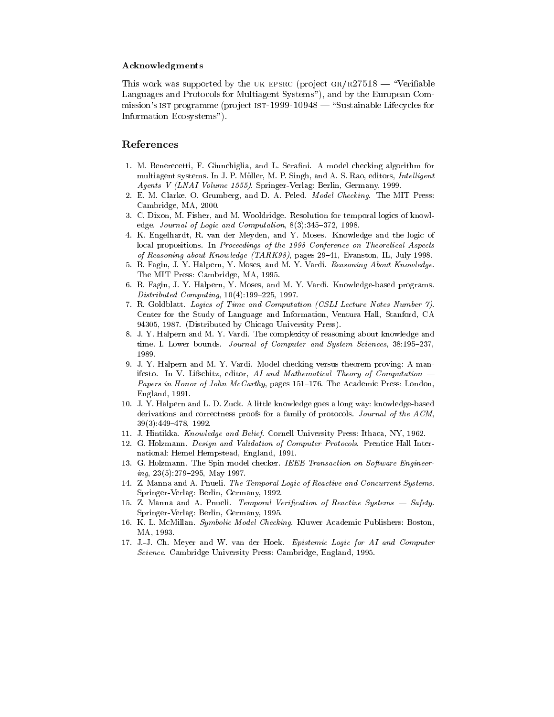#### Acknowledgments

This work was supported by the UK EPSRC (project GR/R27518  $-$  "Verifiable Languages and Protocols for Multiagent Systems"), and by the European Commission's IST programme (project IST-1999-10948  $-$  "Sustainable Lifecycles for Information Ecosystems").

# References

- 1. M. Benerecetti, F. Giunchiglia, and L. Serafini. A model checking algorithm for multiagent systems. In J. P. Müller, M. P. Singh, and A. S. Rao, editors, *Intelligent* Agents V (LNAI Volume 1555). Springer-Verlag: Berlin, Germany, 1999.
- 2. E. M. Clarke, O. Grumberg, and D. A. Peled. Model Checking. The MIT Press: Cambridge, MA, 2000.
- 3. C. Dixon, M. Fisher, and M. Wooldridge. Resolution for temporal logics of knowledge. Journal of Logic and Computation,  $8(3):345-372$ , 1998.
- 4. K. Engelhardt, R. van der Meyden, and Y. Moses. Knowledge and the logic of local propositions. In Proceedings of the 1998 Conference on Theoretical Aspects of Reasoning about Knowledge (TARK98), pages  $29-41$ , Evanston, IL, July 1998.
- 5. R. Fagin, J. Y. Halpern, Y. Moses, and M. Y. Vardi. Reasoning About Knowledge. The MIT Press: Cambridge, MA, 1995.
- 6. R. Fagin, J. Y. Halpern, Y. Moses, and M. Y. Vardi. Knowledge-based programs.  $Distributed\, \, Computing, \, \, 10(4): 199-225, \, \, 1997.$
- 7. R. Goldblatt. Logics of Time and Computation (CSLI Lecture Notes Number 7). Center for the Study of Language and Information, Ventura Hall, Stanford, CA 94305, 1987. (Distributed by Chicago University Press).
- 8. J. Y. Halpern and M. Y. Vardi. The complexity of reasoning about knowledge and time. I. Lower bounds. Journal of Computer and System Sciences, 38:195-237, 1989.
- 9. J. Y. Halpern and M. Y. Vardi. Model checking versus theorem proving: A manifesto. In V. Lifschitz, editor,  $AI$  and Mathematical Theory of Computation  $-$ Papers in Honor of John McCarthy, pages 151-176. The Academic Press: London, England, 1991.
- 10. J. Y. Halpern and L. D. Zuck. A little knowledge goes a long way: knowledge-based derivations and correctness proofs for a family of protocols. Journal of the ACM,  $39(3):449-478, 1992.$
- 11. J. Hintikka. Know ledge and Belief. Cornell University Press: Ithaca, NY, 1962.
- 12. G. Holzmann. Design and Validation of Computer Protocols. Prentice Hall International: Hemel Hempstead, England, 1991.
- 13. G. Holzmann. The Spin model checker. IEEE Transaction on Software Engineer $ing, 23(5):279{-}295, May 1997.$
- 14. Z. Manna and A. Pnueli. The Temporal Logic of Reactive and Concurrent Systems. Springer-Verlag: Berlin, Germany, 1992.
- 15. Z. Manna and A. Pnueli. Temporal Verification of Reactive Systems Safety. Springer-Verlag: Berlin, Germany, 1995.
- 16. K. L. McMillan. Symbolic Model Checking. Kluwer Academic Publishers: Boston, MA, 1993.
- 17. J.-J. Ch. Meyer and W. van der Hoek. Epistemic Logic for AI and Computer Science. Cambridge University Press: Cambridge, England, 1995.